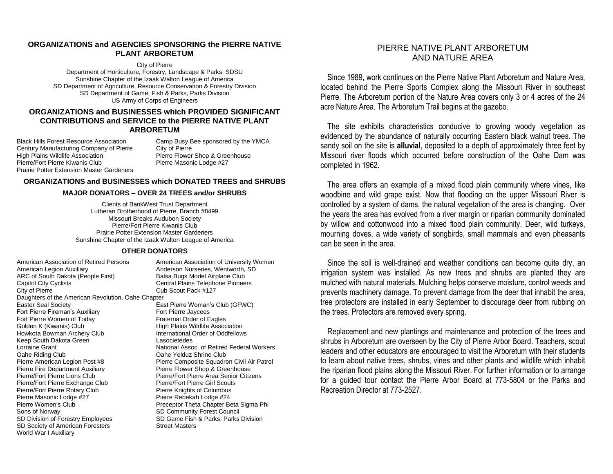#### **ORGANIZATIONS and AGENCIES SPONSORING the PIERRE NATIVE PLANT ARBORETUM**

City of Pierre Department of Horticulture, Forestry, Landscape & Parks, SDSU Sunshine Chapter of the Izaak Walton League of America SD Department of Agriculture, Resource Conservation & Forestry Division SD Department of Game, Fish & Parks, Parks Division US Army of Corps of Engineers

#### **ORGANIZATIONS and BUSINESSES which PROVIDED SIGNIFICANT CONTRIBUTIONS and SERVICE to the PIERRE NATIVE PLANT ARBORETUM**

Black Hills Forest Resource Association Camp Busy Bee sponsored by the YMCA Century Manufacturing Company of Pierre City of Pierre High Plains Wildlife Association **Pierre Flower Shop & Greenhouse**<br>Pierre/Fort Pierre Kiwanis Club **Pierre Masonic Lodge #27** Pierre/Fort Pierre Kiwanis Club Prairie Potter Extension Master Gardeners

#### **ORGANIZATIONS and BUSINESSES which DONATED TREES and SHRUBS**

#### **MAJOR DONATORS – OVER 24 TREES and/or SHRUBS**

Clients of BankWest Trust Department Lutheran Brotherhood of Pierre, Branch #8499 Missouri Breaks Audubon Society Pierre/Fort Pierre Kiwanis Club Prairie Potter Extension Master Gardeners Sunshine Chapter of the Izaak Walton League of America

#### **OTHER DONATORS**

American Association of Retired Persons **American Association of University Women** American Legion Auxiliary **All and Auxiliary** Anderson Nurseries, Wentworth, SD ARC of South Dakota (People First) Balsa Bugs Model Airplane Club Capitol City Cyclists<br>City of Pierre<br>City of Pierre<br>Cub Scout Pack #127 Daughters of the American Revolution, Oahe Chapter Easter Seal Society East Pierre Woman's Club (GFWC) Fort Pierre Fireman's Auxiliary **Fort Pierre Jaycees**<br>Fort Pierre Women of Todav **Fratemal Order of Eagles** Fort Pierre Women of Today Golden K (Kiwanis) Club **High Plains Wildlife Association** Howkota Bowman Archery Club International Order of Oddfellows<br>
Keep South Dakota Green<br>
I asocietedes Keep South Dakota Green<br>Lorraine Grant Lorraine Grant National Assoc. of Retired Federal Workers<br>
Oahe Riding Club National Assoc. of Retired Federal Workers Pierre American Legion Post #8 Pierre Composite Squadron Civil Air Patrol<br>Pierre Fire Department Auxiliary Pierre Flower Shop & Greenhouse Pierre/Fort Pierre Lions Club Pierre/Fort Pierre Area Senior Citizens<br>Pierre/Fort Pierre Exchange Club Pierre/Fort Pierre Girl Scouts Pierre/Fort Pierre Exchange Club Pierre/Fort Pierre Rotary Club Pierre Knights of Columbus<br>Pierre Masonic Lodge #27 Pierre Rebekah Lodge #24 Pierre Women's Club Preceptor Theta Chapter Beta Sigma Phi Sons of Norway SD Community Forest Council SD Division of Forestry Employees SD Game Fish & Parks, Parks Division<br>SD Society of American Foresters Street Masters SD Society of American Foresters World War I Auxiliary

Cub Scout Pack #127

Oahe Yelduz Shrine Club Pierre Flower Shop & Greenhouse Pierre Rebekah Lodge #24

#### PIERRE NATIVE PLANT ARBORETUM AND NATURE AREA

Since 1989, work continues on the Pierre Native Plant Arboretum and Nature Area, located behind the Pierre Sports Complex along the Missouri River in southeast Pierre. The Arboretum portion of the Nature Area covers only 3 or 4 acres of the 24 acre Nature Area. The Arboretum Trail begins at the gazebo.

The site exhibits characteristics conducive to growing woody vegetation as evidenced by the abundance of naturally occurring Eastern black walnut trees. The sandy soil on the site is **alluvial**, deposited to a depth of approximately three feet by Missouri river floods which occurred before construction of the Oahe Dam was completed in 1962.

The area offers an example of a mixed flood plain community where vines, like woodbine and wild grape exist. Now that flooding on the upper Missouri River is controlled by a system of dams, the natural vegetation of the area is changing. Over the years the area has evolved from a river margin or riparian community dominated by willow and cottonwood into a mixed flood plain community. Deer, wild turkeys, mourning doves, a wide variety of songbirds, small mammals and even pheasants can be seen in the area.

Since the soil is well-drained and weather conditions can become quite dry, an irrigation system was installed. As new trees and shrubs are planted they are mulched with natural materials. Mulching helps conserve moisture, control weeds and prevents machinery damage. To prevent damage from the deer that inhabit the area, tree protectors are installed in early September to discourage deer from rubbing on the trees. Protectors are removed every spring.

Replacement and new plantings and maintenance and protection of the trees and shrubs in Arboretum are overseen by the City of Pierre Arbor Board. Teachers, scout leaders and other educators are encouraged to visit the Arboretum with their students to learn about native trees, shrubs, vines and other plants and wildlife which inhabit the riparian flood plains along the Missouri River. For further information or to arrange for a guided tour contact the Pierre Arbor Board at 773-5804 or the Parks and Recreation Director at 773-2527.